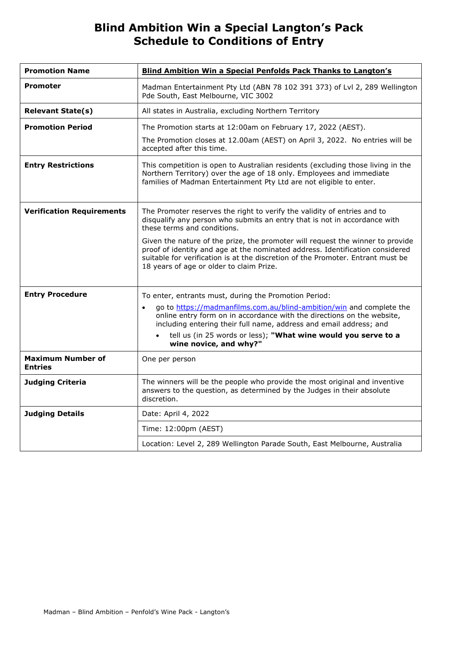# **Blind Ambition Win a Special Langton's Pack Schedule to Conditions of Entry**

| <b>Promotion Name</b>                      | <b>Blind Ambition Win a Special Penfolds Pack Thanks to Langton's</b>                                                                                                                                                                                                                          |  |  |  |
|--------------------------------------------|------------------------------------------------------------------------------------------------------------------------------------------------------------------------------------------------------------------------------------------------------------------------------------------------|--|--|--|
| <b>Promoter</b>                            | Madman Entertainment Pty Ltd (ABN 78 102 391 373) of Lvl 2, 289 Wellington<br>Pde South, East Melbourne, VIC 3002                                                                                                                                                                              |  |  |  |
| <b>Relevant State(s)</b>                   | All states in Australia, excluding Northern Territory                                                                                                                                                                                                                                          |  |  |  |
| <b>Promotion Period</b>                    | The Promotion starts at 12:00am on February 17, 2022 (AEST).<br>The Promotion closes at 12.00am (AEST) on April 3, 2022. No entries will be<br>accepted after this time.                                                                                                                       |  |  |  |
| <b>Entry Restrictions</b>                  | This competition is open to Australian residents (excluding those living in the<br>Northern Territory) over the age of 18 only. Employees and immediate<br>families of Madman Entertainment Pty Ltd are not eligible to enter.                                                                 |  |  |  |
| <b>Verification Requirements</b>           | The Promoter reserves the right to verify the validity of entries and to<br>disqualify any person who submits an entry that is not in accordance with<br>these terms and conditions.                                                                                                           |  |  |  |
|                                            | Given the nature of the prize, the promoter will request the winner to provide<br>proof of identity and age at the nominated address. Identification considered<br>suitable for verification is at the discretion of the Promoter. Entrant must be<br>18 years of age or older to claim Prize. |  |  |  |
| <b>Entry Procedure</b>                     | To enter, entrants must, during the Promotion Period:                                                                                                                                                                                                                                          |  |  |  |
|                                            | go to https://madmanfilms.com.au/blind-ambition/win and complete the<br>online entry form on in accordance with the directions on the website,<br>including entering their full name, address and email address; and<br>tell us (in 25 words or less); "What wine would you serve to a         |  |  |  |
|                                            | wine novice, and why?"                                                                                                                                                                                                                                                                         |  |  |  |
| <b>Maximum Number of</b><br><b>Entries</b> | One per person                                                                                                                                                                                                                                                                                 |  |  |  |
| <b>Judging Criteria</b>                    | The winners will be the people who provide the most original and inventive<br>answers to the question, as determined by the Judges in their absolute<br>discretion.                                                                                                                            |  |  |  |
| <b>Judging Details</b>                     | Date: April 4, 2022                                                                                                                                                                                                                                                                            |  |  |  |
|                                            | Time: 12:00pm (AEST)                                                                                                                                                                                                                                                                           |  |  |  |
|                                            | Location: Level 2, 289 Wellington Parade South, East Melbourne, Australia                                                                                                                                                                                                                      |  |  |  |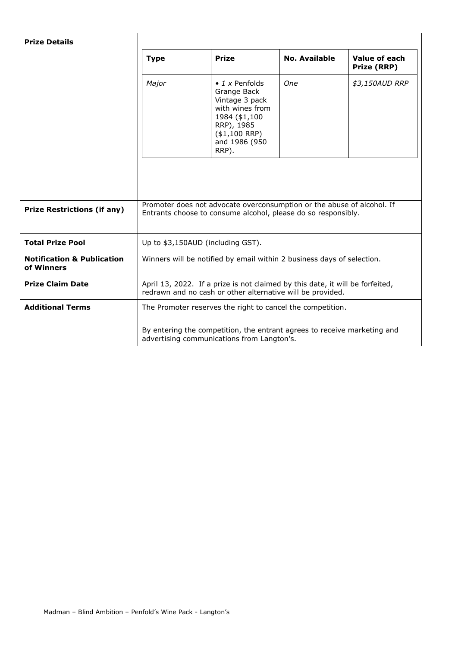| <b>Prize Details</b>                                |                                                                                                                                             |                                                                                                                                                       |               |                              |  |
|-----------------------------------------------------|---------------------------------------------------------------------------------------------------------------------------------------------|-------------------------------------------------------------------------------------------------------------------------------------------------------|---------------|------------------------------|--|
|                                                     | <b>Type</b>                                                                                                                                 | <b>Prize</b>                                                                                                                                          | No. Available | Value of each<br>Prize (RRP) |  |
|                                                     | Major                                                                                                                                       | $\bullet$ 1 x Penfolds<br>Grange Back<br>Vintage 3 pack<br>with wines from<br>1984 (\$1,100<br>RRP), 1985<br>$($1,100$ RRP)<br>and 1986 (950<br>RRP). | One           | \$3,150AUD RRP               |  |
|                                                     |                                                                                                                                             |                                                                                                                                                       |               |                              |  |
| <b>Prize Restrictions (if any)</b>                  | Promoter does not advocate overconsumption or the abuse of alcohol. If<br>Entrants choose to consume alcohol, please do so responsibly.     |                                                                                                                                                       |               |                              |  |
| <b>Total Prize Pool</b>                             | Up to \$3,150AUD (including GST).                                                                                                           |                                                                                                                                                       |               |                              |  |
| <b>Notification &amp; Publication</b><br>of Winners | Winners will be notified by email within 2 business days of selection.                                                                      |                                                                                                                                                       |               |                              |  |
| <b>Prize Claim Date</b>                             | April 13, 2022. If a prize is not claimed by this date, it will be forfeited,<br>redrawn and no cash or other alternative will be provided. |                                                                                                                                                       |               |                              |  |
| <b>Additional Terms</b>                             | The Promoter reserves the right to cancel the competition.                                                                                  |                                                                                                                                                       |               |                              |  |
|                                                     | By entering the competition, the entrant agrees to receive marketing and<br>advertising communications from Langton's.                      |                                                                                                                                                       |               |                              |  |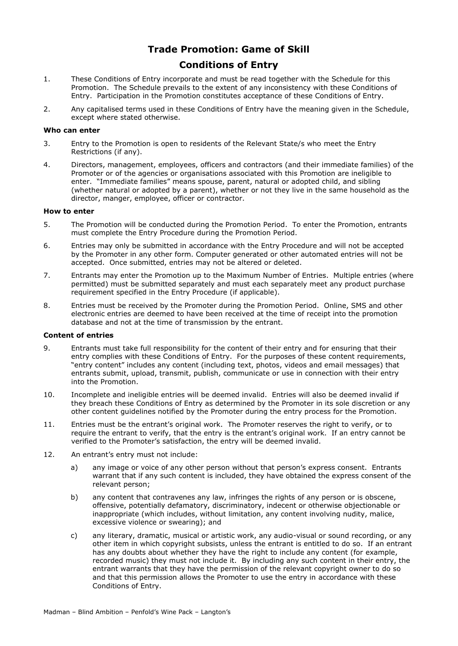# **Trade Promotion: Game of Skill**

## **Conditions of Entry**

- 1. These Conditions of Entry incorporate and must be read together with the Schedule for this Promotion. The Schedule prevails to the extent of any inconsistency with these Conditions of Entry. Participation in the Promotion constitutes acceptance of these Conditions of Entry.
- 2. Any capitalised terms used in these Conditions of Entry have the meaning given in the Schedule, except where stated otherwise.

### **Who can enter**

- 3. Entry to the Promotion is open to residents of the Relevant State/s who meet the Entry Restrictions (if any).
- 4. Directors, management, employees, officers and contractors (and their immediate families) of the Promoter or of the agencies or organisations associated with this Promotion are ineligible to enter. "Immediate families" means spouse, parent, natural or adopted child, and sibling (whether natural or adopted by a parent), whether or not they live in the same household as the director, manger, employee, officer or contractor.

### **How to enter**

- 5. The Promotion will be conducted during the Promotion Period. To enter the Promotion, entrants must complete the Entry Procedure during the Promotion Period.
- 6. Entries may only be submitted in accordance with the Entry Procedure and will not be accepted by the Promoter in any other form. Computer generated or other automated entries will not be accepted. Once submitted, entries may not be altered or deleted.
- 7. Entrants may enter the Promotion up to the Maximum Number of Entries. Multiple entries (where permitted) must be submitted separately and must each separately meet any product purchase requirement specified in the Entry Procedure (if applicable).
- 8. Entries must be received by the Promoter during the Promotion Period. Online, SMS and other electronic entries are deemed to have been received at the time of receipt into the promotion database and not at the time of transmission by the entrant.

#### **Content of entries**

- 9. Entrants must take full responsibility for the content of their entry and for ensuring that their entry complies with these Conditions of Entry. For the purposes of these content requirements, "entry content" includes any content (including text, photos, videos and email messages) that entrants submit, upload, transmit, publish, communicate or use in connection with their entry into the Promotion.
- 10. Incomplete and ineligible entries will be deemed invalid. Entries will also be deemed invalid if they breach these Conditions of Entry as determined by the Promoter in its sole discretion or any other content guidelines notified by the Promoter during the entry process for the Promotion.
- 11. Entries must be the entrant's original work. The Promoter reserves the right to verify, or to require the entrant to verify, that the entry is the entrant's original work. If an entry cannot be verified to the Promoter's satisfaction, the entry will be deemed invalid.
- 12. An entrant's entry must not include:
	- a) any image or voice of any other person without that person's express consent. Entrants warrant that if any such content is included, they have obtained the express consent of the relevant person;
	- b) any content that contravenes any law, infringes the rights of any person or is obscene, offensive, potentially defamatory, discriminatory, indecent or otherwise objectionable or inappropriate (which includes, without limitation, any content involving nudity, malice, excessive violence or swearing); and
	- c) any literary, dramatic, musical or artistic work, any audio-visual or sound recording, or any other item in which copyright subsists, unless the entrant is entitled to do so. If an entrant has any doubts about whether they have the right to include any content (for example, recorded music) they must not include it. By including any such content in their entry, the entrant warrants that they have the permission of the relevant copyright owner to do so and that this permission allows the Promoter to use the entry in accordance with these Conditions of Entry.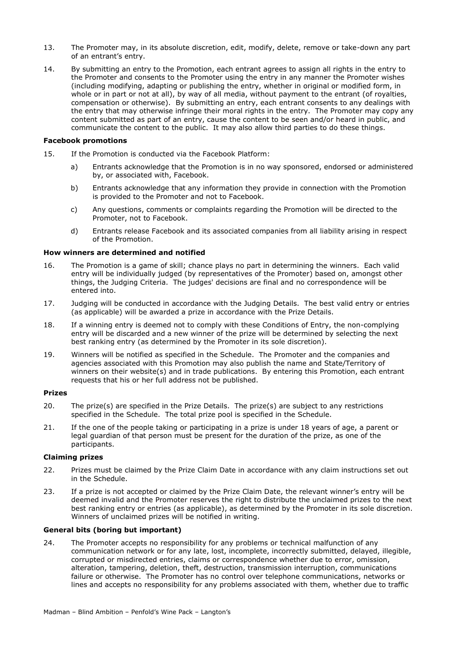- 13. The Promoter may, in its absolute discretion, edit, modify, delete, remove or take-down any part of an entrant's entry.
- 14. By submitting an entry to the Promotion, each entrant agrees to assign all rights in the entry to the Promoter and consents to the Promoter using the entry in any manner the Promoter wishes (including modifying, adapting or publishing the entry, whether in original or modified form, in whole or in part or not at all), by way of all media, without payment to the entrant (of royalties, compensation or otherwise). By submitting an entry, each entrant consents to any dealings with the entry that may otherwise infringe their moral rights in the entry. The Promoter may copy any content submitted as part of an entry, cause the content to be seen and/or heard in public, and communicate the content to the public. It may also allow third parties to do these things.

#### **Facebook promotions**

- 15. If the Promotion is conducted via the Facebook Platform:
	- a) Entrants acknowledge that the Promotion is in no way sponsored, endorsed or administered by, or associated with, Facebook.
	- b) Entrants acknowledge that any information they provide in connection with the Promotion is provided to the Promoter and not to Facebook.
	- c) Any questions, comments or complaints regarding the Promotion will be directed to the Promoter, not to Facebook.
	- d) Entrants release Facebook and its associated companies from all liability arising in respect of the Promotion.

#### **How winners are determined and notified**

- 16. The Promotion is a game of skill; chance plays no part in determining the winners. Each valid entry will be individually judged (by representatives of the Promoter) based on, amongst other things, the Judging Criteria. The judges' decisions are final and no correspondence will be entered into.
- 17. Judging will be conducted in accordance with the Judging Details. The best valid entry or entries (as applicable) will be awarded a prize in accordance with the Prize Details.
- 18. If a winning entry is deemed not to comply with these Conditions of Entry, the non-complying entry will be discarded and a new winner of the prize will be determined by selecting the next best ranking entry (as determined by the Promoter in its sole discretion).
- 19. Winners will be notified as specified in the Schedule. The Promoter and the companies and agencies associated with this Promotion may also publish the name and State/Territory of winners on their website(s) and in trade publications. By entering this Promotion, each entrant requests that his or her full address not be published.

#### **Prizes**

- 20. The prize(s) are specified in the Prize Details. The prize(s) are subject to any restrictions specified in the Schedule. The total prize pool is specified in the Schedule.
- 21. If the one of the people taking or participating in a prize is under 18 years of age, a parent or legal guardian of that person must be present for the duration of the prize, as one of the participants.

### **Claiming prizes**

- 22. Prizes must be claimed by the Prize Claim Date in accordance with any claim instructions set out in the Schedule.
- 23. If a prize is not accepted or claimed by the Prize Claim Date, the relevant winner's entry will be deemed invalid and the Promoter reserves the right to distribute the unclaimed prizes to the next best ranking entry or entries (as applicable), as determined by the Promoter in its sole discretion. Winners of unclaimed prizes will be notified in writing.

### **General bits (boring but important)**

24. The Promoter accepts no responsibility for any problems or technical malfunction of any communication network or for any late, lost, incomplete, incorrectly submitted, delayed, illegible, corrupted or misdirected entries, claims or correspondence whether due to error, omission, alteration, tampering, deletion, theft, destruction, transmission interruption, communications failure or otherwise. The Promoter has no control over telephone communications, networks or lines and accepts no responsibility for any problems associated with them, whether due to traffic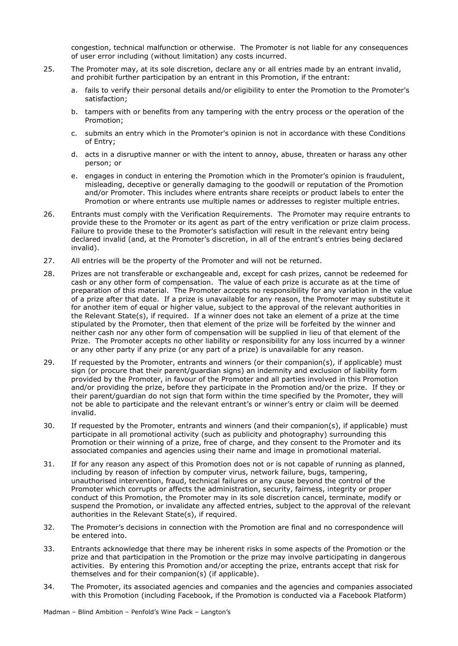congestion, technical malfunction or otherwise. The Promoter is not liable for any consequences of user error including (without limitation) any costs incurred.

- 25. The Promoter may, at its sole discretion, declare any or all entries made by an entrant invalid, and prohibit further participation by an entrant in this Promotion, if the entrant:
	- a. fails to verify their personal details and/or eligibility to enter the Promotion to the Promoter's satisfaction;
	- b. tampers with or benefits from any tampering with the entry process or the operation of the Promotion;
	- c. submits an entry which in the Promoter's opinion is not in accordance with these Conditions of Entry;
	- d. acts in a disruptive manner or with the intent to annoy, abuse, threaten or harass any other person; or
	- e. engages in conduct in entering the Promotion which in the Promoter's opinion is fraudulent, misleading, deceptive or generally damaging to the goodwill or reputation of the Promotion and/or Promoter. This includes where entrants share receipts or product labels to enter the Promotion or where entrants use multiple names or addresses to register multiple entries.
- 26. Entrants must comply with the Verification Requirements. The Promoter may require entrants to provide these to the Promoter or its agent as part of the entry verification or prize claim process. Failure to provide these to the Promoter's satisfaction will result in the relevant entry being declared invalid (and, at the Promoter's discretion, in all of the entrant's entries being declared invalid).
- 27. All entries will be the property of the Promoter and will not be returned.
- 28. Prizes are not transferable or exchangeable and, except for cash prizes, cannot be redeemed for cash or any other form of compensation. The value of each prize is accurate as at the time of preparation of this material. The Promoter accepts no responsibility for any variation in the value of a prize after that date. If a prize is unavailable for any reason, the Promoter may substitute it for another item of equal or higher value, subject to the approval of the relevant authorities in the Relevant State(s), if required. If a winner does not take an element of a prize at the time stipulated by the Promoter, then that element of the prize will be forfeited by the winner and neither cash nor any other form of compensation will be supplied in lieu of that element of the Prize. The Promoter accepts no other liability or responsibility for any loss incurred by a winner or any other party if any prize (or any part of a prize) is unavailable for any reason.
- 29. If requested by the Promoter, entrants and winners (or their companion(s), if applicable) must sign (or procure that their parent/guardian signs) an indemnity and exclusion of liability form provided by the Promoter, in favour of the Promoter and all parties involved in this Promotion and/or providing the prize, before they participate in the Promotion and/or the prize. If they or their parent/guardian do not sign that form within the time specified by the Promoter, they will not be able to participate and the relevant entrant's or winner's entry or claim will be deemed invalid.
- 30. If requested by the Promoter, entrants and winners (and their companion(s), if applicable) must participate in all promotional activity (such as publicity and photography) surrounding this Promotion or their winning of a prize, free of charge, and they consent to the Promoter and its associated companies and agencies using their name and image in promotional material.
- 31. If for any reason any aspect of this Promotion does not or is not capable of running as planned, including by reason of infection by computer virus, network failure, bugs, tampering, unauthorised intervention, fraud, technical failures or any cause beyond the control of the Promoter which corrupts or affects the administration, security, fairness, integrity or proper conduct of this Promotion, the Promoter may in its sole discretion cancel, terminate, modify or suspend the Promotion, or invalidate any affected entries, subject to the approval of the relevant authorities in the Relevant State(s), if required.
- 32. The Promoter's decisions in connection with the Promotion are final and no correspondence will be entered into.
- 33. Entrants acknowledge that there may be inherent risks in some aspects of the Promotion or the prize and that participation in the Promotion or the prize may involve participating in dangerous activities. By entering this Promotion and/or accepting the prize, entrants accept that risk for themselves and for their companion(s) (if applicable).
- 34. The Promoter, its associated agencies and companies and the agencies and companies associated with this Promotion (including Facebook, if the Promotion is conducted via a Facebook Platform)